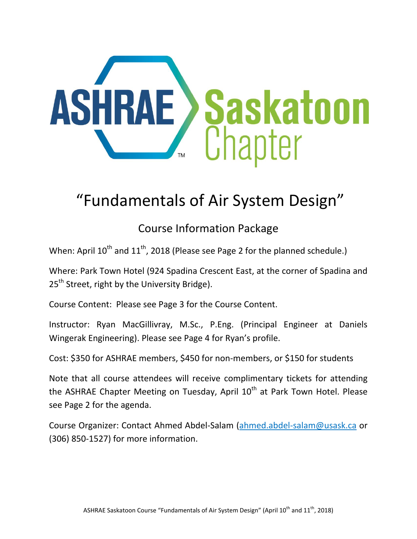

# "Fundamentals of Air System Design"

## Course Information Package

When: April  $10^{th}$  and  $11^{th}$ , 2018 (Please see Page 2 for the planned schedule.)

Where: Park Town Hotel (924 Spadina Crescent East, at the corner of Spadina and 25<sup>th</sup> Street, right by the University Bridge).

Course Content: Please see Page 3 for the Course Content.

Instructor: Ryan MacGillivray, M.Sc., P.Eng. (Principal Engineer at Daniels Wingerak Engineering). Please see Page 4 for Ryan's profile.

Cost: \$350 for ASHRAE members, \$450 for non-members, or \$150 for students

Note that all course attendees will receive complimentary tickets for attending the ASHRAE Chapter Meeting on Tuesday, April 10<sup>th</sup> at Park Town Hotel. Please see Page 2 for the agenda.

Course Organizer: Contact Ahmed Abdel-Salam [\(ahmed.abdel-salam@usask.ca](mailto:jbushman@marchconsulting.com) or (306) 850-1527) for more information.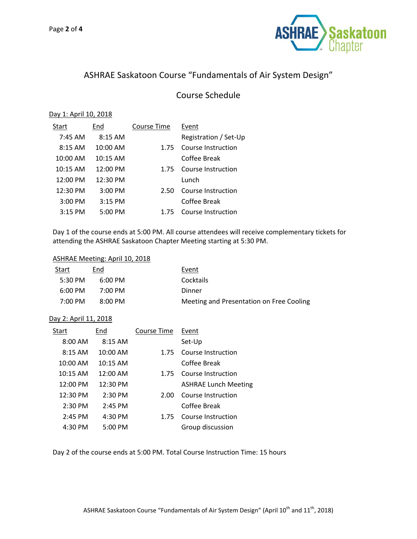

## ASHRAE Saskatoon Course "Fundamentals of Air System Design"

## Course Schedule

#### Day 1: April 10, 2018

| Start      | End        | Course Time | Event                 |
|------------|------------|-------------|-----------------------|
| $7:45$ AM  | $8:15$ AM  |             | Registration / Set-Up |
| $8:15$ AM  | 10:00 AM   | 1.75        | Course Instruction    |
| 10:00 AM   | $10:15$ AM |             | Coffee Break          |
| $10:15$ AM | 12:00 PM   | 1.75        | Course Instruction    |
| 12:00 PM   | 12:30 PM   |             | Lunch                 |
| 12:30 PM   | 3:00 PM    | 2.50        | Course Instruction    |
| $3:00$ PM  | $3:15$ PM  |             | Coffee Break          |
| $3:15$ PM  | $5:00$ PM  | 1.75        | Course Instruction    |

Day 1 of the course ends at 5:00 PM. All course attendees will receive complementary tickets for attending the ASHRAE Saskatoon Chapter Meeting starting at 5:30 PM.

#### ASHRAE Meeting: April 10, 2018

| Start             | End               | Event                                    |
|-------------------|-------------------|------------------------------------------|
| $5:30 \text{ PM}$ | $6:00 \text{ PM}$ | Cocktails                                |
| $6:00 \text{ PM}$ | $7:00 \text{ PM}$ | Dinner                                   |
| $7:00 \text{ PM}$ | $8:00$ PM         | Meeting and Presentation on Free Cooling |

#### Day 2: April 11, 2018

| Start              | End                 | Course Time | Event                       |
|--------------------|---------------------|-------------|-----------------------------|
| $8:00$ AM          | $8:15$ AM           |             | Set-Up                      |
| $8:15$ AM          | 10:00 AM            | 1.75        | Course Instruction          |
| $10:00$ AM         | 10:15 AM            |             | Coffee Break                |
| $10:15$ AM         | $12:00$ AM          | 1.75        | Course Instruction          |
| $12:00 \text{ PM}$ | $12:30 \text{ PM}$  |             | <b>ASHRAE Lunch Meeting</b> |
| 12:30 PM           | $2:30$ PM           | 2.00        | Course Instruction          |
| $2:30$ PM          | $2:45$ PM           |             | Coffee Break                |
| $2:45$ PM          | $4:30$ PM           | 1.75        | Course Instruction          |
| $4:30$ PM          | $5:00 \, \text{PM}$ |             | Group discussion            |

Day 2 of the course ends at 5:00 PM. Total Course Instruction Time: 15 hours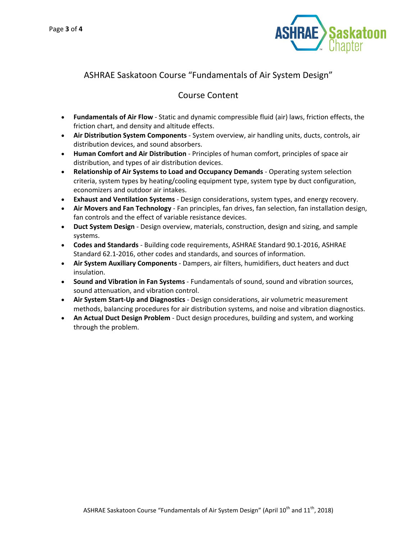

## ASHRAE Saskatoon Course "Fundamentals of Air System Design"

## Course Content

- **Fundamentals of Air Flow** Static and dynamic compressible fluid (air) laws, friction effects, the friction chart, and density and altitude effects.
- **Air Distribution System Components** System overview, air handling units, ducts, controls, air distribution devices, and sound absorbers.
- **Human Comfort and Air Distribution** Principles of human comfort, principles of space air distribution, and types of air distribution devices.
- **Relationship of Air Systems to Load and Occupancy Demands** Operating system selection criteria, system types by heating/cooling equipment type, system type by duct configuration, economizers and outdoor air intakes.
- **Exhaust and Ventilation Systems** Design considerations, system types, and energy recovery.
- **Air Movers and Fan Technology** Fan principles, fan drives, fan selection, fan installation design, fan controls and the effect of variable resistance devices.
- **Duct System Design** Design overview, materials, construction, design and sizing, and sample systems.
- **Codes and Standards** Building code requirements, ASHRAE Standard 90.1-2016, ASHRAE Standard 62.1-2016, other codes and standards, and sources of information.
- **Air System Auxiliary Components** Dampers, air filters, humidifiers, duct heaters and duct insulation.
- **Sound and Vibration in Fan Systems** Fundamentals of sound, sound and vibration sources, sound attenuation, and vibration control.
- **Air System Start-Up and Diagnostics** Design considerations, air volumetric measurement methods, balancing procedures for air distribution systems, and noise and vibration diagnostics.
- **An Actual Duct Design Problem** Duct design procedures, building and system, and working through the problem.